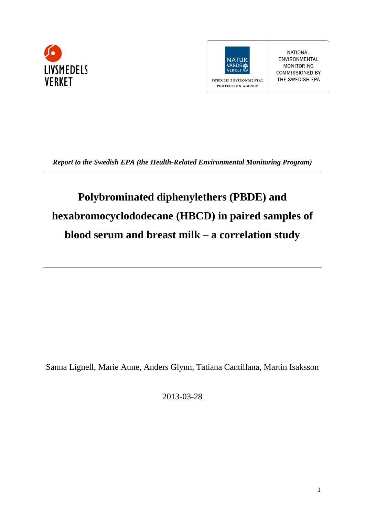



**NATIONAL** ENVIRONMENTAL **MONITORING COMMISSIONED BY** THE SWEDISH EPA

*Report to the Swedish EPA (the Health-Related Environmental Monitoring Program)*

# **Polybrominated diphenylethers (PBDE) and hexabromocyclododecane (HBCD) in paired samples of blood serum and breast milk – a correlation study**

Sanna Lignell, Marie Aune, Anders Glynn, Tatiana Cantillana, Martin Isaksson

2013-03-28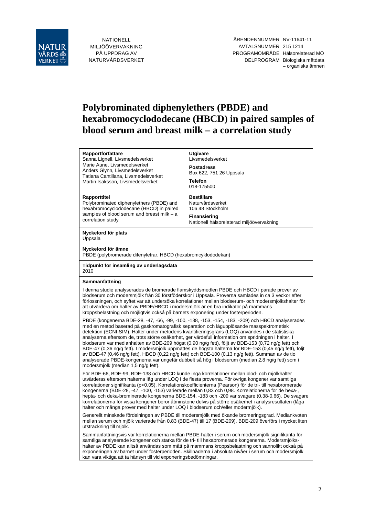

NATIONELL MILJÖÖVERVAKNING PÅ UPPDRAG AV NATURVÅRDSVERKET

# **Polybrominated diphenylethers (PBDE) and hexabromocyclododecane (HBCD) in paired samples of blood serum and breast milk – a correlation study**

| Rapportförfattare<br>Sanna Lignell, Livsmedelsverket<br>Marie Aune, Livsmedelsverket<br>Anders Glynn, Livsmedelsverket<br>Tatiana Cantillana, Livsmedelsverket<br>Martin Isaksson, Livsmedelsverket                                                                                                                                                                                                                                                                                                                                                                                                                                                                                                                                                                                                                                                                     | <b>Utgivare</b><br>Livsmedelsverket<br><b>Postadress</b><br>Box 622, 751 26 Uppsala<br><b>Telefon</b><br>018-175500           |  |  |  |
|-------------------------------------------------------------------------------------------------------------------------------------------------------------------------------------------------------------------------------------------------------------------------------------------------------------------------------------------------------------------------------------------------------------------------------------------------------------------------------------------------------------------------------------------------------------------------------------------------------------------------------------------------------------------------------------------------------------------------------------------------------------------------------------------------------------------------------------------------------------------------|-------------------------------------------------------------------------------------------------------------------------------|--|--|--|
| Rapporttitel<br>Polybrominated diphenylethers (PBDE) and<br>hexabromocyclododecane (HBCD) in paired<br>samples of blood serum and breast milk - a<br>correlation study                                                                                                                                                                                                                                                                                                                                                                                                                                                                                                                                                                                                                                                                                                  | <b>Beställare</b><br>Naturvårdsverket<br>106 48 Stockholm<br><b>Finansiering</b><br>Nationell hälsorelaterad miljöövervakning |  |  |  |
| Nyckelord för plats<br>Uppsala                                                                                                                                                                                                                                                                                                                                                                                                                                                                                                                                                                                                                                                                                                                                                                                                                                          |                                                                                                                               |  |  |  |
| Nyckelord för ämne<br>PBDE (polybromerade difenyletrar, HBCD (hexabromcyklododekan)                                                                                                                                                                                                                                                                                                                                                                                                                                                                                                                                                                                                                                                                                                                                                                                     |                                                                                                                               |  |  |  |
| Tidpunkt för insamling av underlagsdata<br>2010                                                                                                                                                                                                                                                                                                                                                                                                                                                                                                                                                                                                                                                                                                                                                                                                                         |                                                                                                                               |  |  |  |
| Sammanfattning                                                                                                                                                                                                                                                                                                                                                                                                                                                                                                                                                                                                                                                                                                                                                                                                                                                          |                                                                                                                               |  |  |  |
| I denna studie analyserades de bromerade flamskyddsmedlen PBDE och HBCD i parade prover av<br>blodserum och modersmjölk från 30 förstföderskor i Uppsala. Proverna samlades in ca 3 veckor efter<br>förlossningen, och syftet var att undersöka korrelationer mellan blodserum- och modersmjölkshalter för<br>att utvärdera om halter av PBDE/HBCD i modersmjölk är en bra indikator på mammans<br>kroppsbelastning och möjligtvis också på barnets exponering under fosterperioden.                                                                                                                                                                                                                                                                                                                                                                                    |                                                                                                                               |  |  |  |
| PBDE (kongenerna BDE-28, -47, -66, -99, -100, -138, -153, -154, -183, -209) och HBCD analyserades<br>med en metod baserad på gaskromatografisk separation och lågupplösande masspektrometisk<br>detektion (ECNI-SIM). Halter under metodens kvantifieringsgräns (LOQ) användes i de statistiska<br>analyserna eftersom de, trots större osäkerhet, ger värdefull information om spridningen i halter. I<br>blodserum var medianhalten av BDE-209 högst (0,90 ng/g fett), följt av BDE-153 (0,72 ng/g fett) och<br>BDE-47 (0,36 ng/g fett). I modersmjölk uppmättes de högsta halterna för BDE-153 (0,45 ng/g fett), följt<br>av BDE-47 (0,46 ng/g fett), HBCD (0,22 ng/g fett) och BDE-100 (0,13 ng/g fett). Summan av de tio<br>analyserade PBDE-kongenerna var ungefär dubbelt så hög i blodserum (median 2,8 ng/g fett) som i<br>modersmjölk (median 1,5 ng/g fett). |                                                                                                                               |  |  |  |
| För BDE-66, BDE-99, BDE-138 och HBCD kunde inga korrelationer mellan blod- och mjölkhalter<br>utvärderas eftersom halterna låg under LOQ i de flesta proverna. För övriga kongener var samtliga<br>korrelationer signifikanta (p<0,05). Korrelationskoefficienterna (Pearson) för de tri- till hexabromerade<br>kongenerna (BDE-28, -47, -100, -153) varierade mellan 0,83 och 0,98. Korrelationerna för de hexa-,<br>hepta- och deka-brominerade kongenerna BDE-154, -183 och -209 var svagare (0,38-0,66). De svagare<br>korrelationerna för vissa kongener beror åtminstone delvis på större osäkerhet i analysresultaten (låga                                                                                                                                                                                                                                      |                                                                                                                               |  |  |  |

Generellt minskade fördelningen av PBDE till modersmjölk med ökande bromeringsgrad. Mediankvoten mellan serum och mjölk varierade från 0,83 (BDE-47) till 17 (BDE-209). BDE-209 överförs i mycket liten utsträckning till mjölk.

halter och många prover med halter under LOQ i blodserum och/eller modermjölk).

Sammanfattningsvis var korrelationerna mellan PBDE-halter i serum och modersmjölk signifikanta för samtliga analyserade kongener och starka för de tri- till hexabromerade kongenerna. Modersmjölkshalter av PBDE kan alltså användas som mått på mammans kroppsbelastning och sannolikt också på exponeringen av barnet under fosterperioden. Skillnaderna i absoluta nivåer i serum och modersmjölk kan vara viktiga att ta hänsyn till vid exponeringsbedömningar.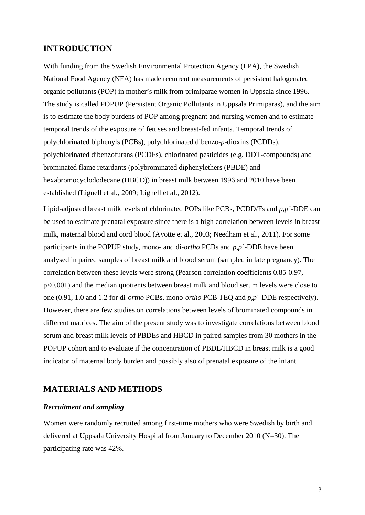# **INTRODUCTION**

With funding from the Swedish Environmental Protection Agency (EPA), the Swedish National Food Agency (NFA) has made recurrent measurements of persistent halogenated organic pollutants (POP) in mother's milk from primiparae women in Uppsala since 1996. The study is called POPUP (Persistent Organic Pollutants in Uppsala Primiparas), and the aim is to estimate the body burdens of POP among pregnant and nursing women and to estimate temporal trends of the exposure of fetuses and breast-fed infants. Temporal trends of polychlorinated biphenyls (PCBs), polychlorinated dibenzo-*p*-dioxins (PCDDs), polychlorinated dibenzofurans (PCDFs), chlorinated pesticides (e.g. DDT-compounds) and brominated flame retardants (polybrominated diphenylethers (PBDE) and hexabromocyclododecane (HBCD)) in breast milk between 1996 and 2010 have been established (Lignell et al., 2009; Lignell et al., 2012).

Lipid-adjusted breast milk levels of chlorinated POPs like PCBs, PCDD/Fs and *p,p´*-DDE can be used to estimate prenatal exposure since there is a high correlation between levels in breast milk, maternal blood and cord blood (Ayotte et al., 2003; Needham et al., 2011). For some participants in the POPUP study, mono- and di-*ortho* PCBs and *p,p´-*DDE have been analysed in paired samples of breast milk and blood serum (sampled in late pregnancy). The correlation between these levels were strong (Pearson correlation coefficients 0.85-0.97, p<0.001) and the median quotients between breast milk and blood serum levels were close to one (0.91, 1.0 and 1.2 for di-*ortho* PCBs, mono-*ortho* PCB TEQ and *p,p´*-DDE respectively). However, there are few studies on correlations between levels of brominated compounds in different matrices. The aim of the present study was to investigate correlations between blood serum and breast milk levels of PBDEs and HBCD in paired samples from 30 mothers in the POPUP cohort and to evaluate if the concentration of PBDE/HBCD in breast milk is a good indicator of maternal body burden and possibly also of prenatal exposure of the infant.

# **MATERIALS AND METHODS**

#### *Recruitment and sampling*

Women were randomly recruited among first-time mothers who were Swedish by birth and delivered at Uppsala University Hospital from January to December 2010 (N=30). The participating rate was 42%.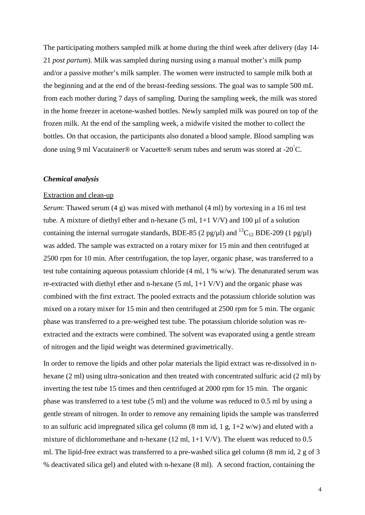The participating mothers sampled milk at home during the third week after delivery (day 14- 21 *post partum*). Milk was sampled during nursing using a manual mother's milk pump and/or a passive mother's milk sampler. The women were instructed to sample milk both at the beginning and at the end of the breast-feeding sessions. The goal was to sample 500 mL from each mother during 7 days of sampling. During the sampling week, the milk was stored in the home freezer in acetone-washed bottles. Newly sampled milk was poured on top of the frozen milk. At the end of the sampling week, a midwife visited the mother to collect the bottles. On that occasion, the participants also donated a blood sample. Blood sampling was done using 9 ml Vacutainer® or Vacuette® serum tubes and serum was stored at -20 $^{\circ}$ C.

#### *Chemical analysis*

#### Extraction and clean-up

*Serum*: Thawed serum (4 g) was mixed with methanol (4 ml) by vortexing in a 16 ml test tube. A mixture of diethyl ether and n-hexane  $(5 \text{ ml}, 1+1 \text{ V/V})$  and  $100 \mu l$  of a solution containing the internal surrogate standards, BDE-85 (2 pg/ $\mu$ l) and <sup>13</sup>C<sub>12</sub> BDE-209 (1 pg/ $\mu$ l) was added. The sample was extracted on a rotary mixer for 15 min and then centrifuged at 2500 rpm for 10 min. After centrifugation, the top layer, organic phase, was transferred to a test tube containing aqueous potassium chloride (4 ml, 1 % w/w). The denaturated serum was re-extracted with diethyl ether and n-hexane  $(5 \text{ ml}, 1+1 \text{ V/V})$  and the organic phase was combined with the first extract. The pooled extracts and the potassium chloride solution was mixed on a rotary mixer for 15 min and then centrifuged at 2500 rpm for 5 min. The organic phase was transferred to a pre-weighed test tube. The potassium chloride solution was reextracted and the extracts were combined. The solvent was evaporated using a gentle stream of nitrogen and the lipid weight was determined gravimetrically.

In order to remove the lipids and other polar materials the lipid extract was re-dissolved in nhexane (2 ml) using ultra-sonication and then treated with concentrated sulfuric acid (2 ml) by inverting the test tube 15 times and then centrifuged at 2000 rpm for 15 min. The organic phase was transferred to a test tube (5 ml) and the volume was reduced to 0.5 ml by using a gentle stream of nitrogen. In order to remove any remaining lipids the sample was transferred to an sulfuric acid impregnated silica gel column  $(8 \text{ mm id}, 1 \text{ g}, 1+2 \text{ w/w})$  and eluted with a mixture of dichloromethane and n-hexane (12 ml, 1+1 V/V). The eluent was reduced to 0.5 ml. The lipid-free extract was transferred to a pre-washed silica gel column (8 mm id, 2 g of 3 % deactivated silica gel) and eluted with n-hexane (8 ml). A second fraction, containing the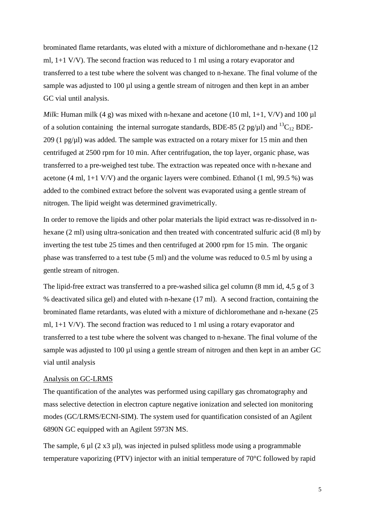brominated flame retardants, was eluted with a mixture of dichloromethane and n-hexane (12 ml, 1+1 V/V). The second fraction was reduced to 1 ml using a rotary evaporator and transferred to a test tube where the solvent was changed to n-hexane. The final volume of the sample was adjusted to 100 µl using a gentle stream of nitrogen and then kept in an amber GC vial until analysis.

*Milk*: Human milk (4 g) was mixed with n-hexane and acetone (10 ml, 1+1, V/V) and 100  $\mu$ l of a solution containing the internal surrogate standards, BDE-85 (2 pg/ $\mu$ l) and <sup>13</sup>C<sub>12</sub> BDE-209 (1 pg/ $\mu$ l) was added. The sample was extracted on a rotary mixer for 15 min and then centrifuged at 2500 rpm for 10 min. After centrifugation, the top layer, organic phase, was transferred to a pre-weighed test tube. The extraction was repeated once with n-hexane and acetone (4 ml, 1+1 V/V) and the organic layers were combined. Ethanol (1 ml, 99.5 %) was added to the combined extract before the solvent was evaporated using a gentle stream of nitrogen. The lipid weight was determined gravimetrically.

In order to remove the lipids and other polar materials the lipid extract was re-dissolved in nhexane (2 ml) using ultra-sonication and then treated with concentrated sulfuric acid (8 ml) by inverting the test tube 25 times and then centrifuged at 2000 rpm for 15 min. The organic phase was transferred to a test tube (5 ml) and the volume was reduced to 0.5 ml by using a gentle stream of nitrogen.

The lipid-free extract was transferred to a pre-washed silica gel column (8 mm id, 4,5 g of 3 % deactivated silica gel) and eluted with n-hexane (17 ml). A second fraction, containing the brominated flame retardants, was eluted with a mixture of dichloromethane and n-hexane (25 ml, 1+1 V/V). The second fraction was reduced to 1 ml using a rotary evaporator and transferred to a test tube where the solvent was changed to n-hexane. The final volume of the sample was adjusted to 100 µl using a gentle stream of nitrogen and then kept in an amber GC vial until analysis

#### Analysis on GC-LRMS

The quantification of the analytes was performed using capillary gas chromatography and mass selective detection in electron capture negative ionization and selected ion monitoring modes (GC/LRMS/ECNI-SIM). The system used for quantification consisted of an Agilent 6890N GC equipped with an Agilent 5973N MS.

The sample, 6  $\mu$ l (2 x3  $\mu$ l), was injected in pulsed splitless mode using a programmable temperature vaporizing (PTV) injector with an initial temperature of 70°C followed by rapid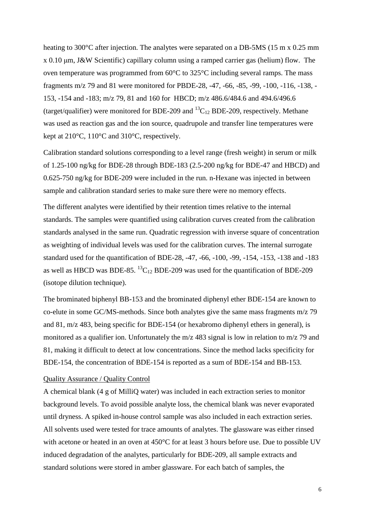heating to 300°C after injection. The analytes were separated on a DB-5MS (15 m x 0.25 mm x 0.10 μm, J&W Scientific) capillary column using a ramped carrier gas (helium) flow. The oven temperature was programmed from 60°C to 325°C including several ramps. The mass fragments m/z 79 and 81 were monitored for PBDE-28, -47, -66, -85, -99, -100, -116, -138, - 153, -154 and -183; m/z 79, 81 and 160 for HBCD; m/z 486.6/484.6 and 494.6/496.6 (target/qualifier) were monitored for BDE-209 and  ${}^{13}C_{12}$  BDE-209, respectively. Methane was used as reaction gas and the ion source, quadrupole and transfer line temperatures were kept at 210°C, 110°C and 310°C, respectively.

Calibration standard solutions corresponding to a level range (fresh weight) in serum or milk of 1.25-100 ng/kg for BDE-28 through BDE-183 (2.5-200 ng/kg for BDE-47 and HBCD) and 0.625-750 ng/kg for BDE-209 were included in the run. n-Hexane was injected in between sample and calibration standard series to make sure there were no memory effects.

The different analytes were identified by their retention times relative to the internal standards. The samples were quantified using calibration curves created from the calibration standards analysed in the same run. Quadratic regression with inverse square of concentration as weighting of individual levels was used for the calibration curves. The internal surrogate standard used for the quantification of BDE-28, -47, -66, -100, -99, -154, -153, -138 and -183 as well as HBCD was BDE-85.  ${}^{13}C_{12}$  BDE-209 was used for the quantification of BDE-209 (isotope dilution technique).

The brominated biphenyl BB-153 and the brominated diphenyl ether BDE-154 are known to co-elute in some GC/MS-methods. Since both analytes give the same mass fragments m/z 79 and 81, m/z 483, being specific for BDE-154 (or hexabromo diphenyl ethers in general), is monitored as a qualifier ion. Unfortunately the m/z 483 signal is low in relation to m/z 79 and 81, making it difficult to detect at low concentrations. Since the method lacks specificity for BDE-154, the concentration of BDE-154 is reported as a sum of BDE-154 and BB-153.

#### Quality Assurance / Quality Control

A chemical blank (4 g of MilliQ water) was included in each extraction series to monitor background levels. To avoid possible analyte loss, the chemical blank was never evaporated until dryness. A spiked in-house control sample was also included in each extraction series. All solvents used were tested for trace amounts of analytes. The glassware was either rinsed with acetone or heated in an oven at 450°C for at least 3 hours before use. Due to possible UV induced degradation of the analytes, particularly for BDE-209, all sample extracts and standard solutions were stored in amber glassware. For each batch of samples, the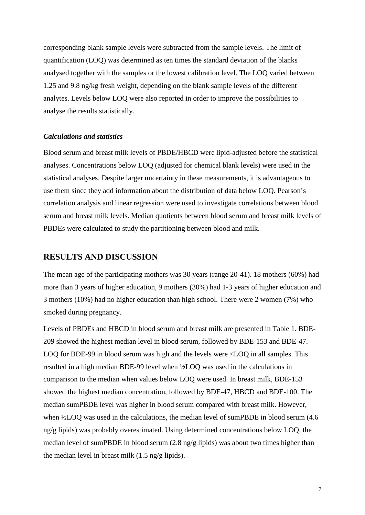corresponding blank sample levels were subtracted from the sample levels. The limit of quantification (LOQ) was determined as ten times the standard deviation of the blanks analysed together with the samples or the lowest calibration level. The LOQ varied between 1.25 and 9.8 ng/kg fresh weight, depending on the blank sample levels of the different analytes. Levels below LOQ were also reported in order to improve the possibilities to analyse the results statistically.

#### *Calculations and statistics*

Blood serum and breast milk levels of PBDE/HBCD were lipid-adjusted before the statistical analyses. Concentrations below LOQ (adjusted for chemical blank levels) were used in the statistical analyses. Despite larger uncertainty in these measurements, it is advantageous to use them since they add information about the distribution of data below LOQ. Pearson's correlation analysis and linear regression were used to investigate correlations between blood serum and breast milk levels. Median quotients between blood serum and breast milk levels of PBDEs were calculated to study the partitioning between blood and milk.

#### **RESULTS AND DISCUSSION**

The mean age of the participating mothers was 30 years (range 20-41). 18 mothers (60%) had more than 3 years of higher education, 9 mothers (30%) had 1-3 years of higher education and 3 mothers (10%) had no higher education than high school. There were 2 women (7%) who smoked during pregnancy.

Levels of PBDEs and HBCD in blood serum and breast milk are presented in Table 1. BDE-209 showed the highest median level in blood serum, followed by BDE-153 and BDE-47. LOQ for BDE-99 in blood serum was high and the levels were <LOQ in all samples. This resulted in a high median BDE-99 level when ½LOQ was used in the calculations in comparison to the median when values below LOQ were used. In breast milk, BDE-153 showed the highest median concentration, followed by BDE-47, HBCD and BDE-100. The median sumPBDE level was higher in blood serum compared with breast milk. However, when <sup>1</sup>/<sub>2</sub>LOQ was used in the calculations, the median level of sumPBDE in blood serum (4.6) ng/g lipids) was probably overestimated. Using determined concentrations below LOQ, the median level of sumPBDE in blood serum (2.8 ng/g lipids) was about two times higher than the median level in breast milk (1.5 ng/g lipids).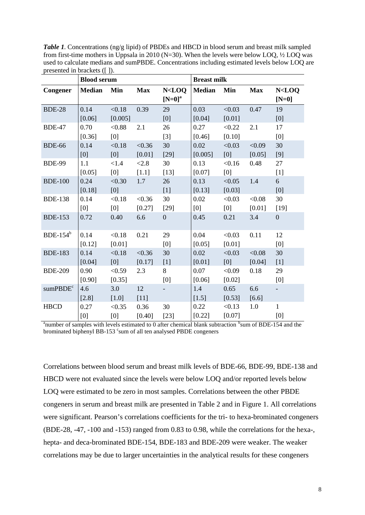*Table 1.* Concentrations (ng/g lipid) of PBDEs and HBCD in blood serum and breast milk sampled from first-time mothers in Uppsala in 2010 ( $N=30$ ). When the levels were below LOQ,  $\frac{1}{2}$  LOQ was used to calculate medians and sumPBDE. Concentrations including estimated levels below LOQ are presented in brackets ([ ]).

|                      | <b>Blood serum</b> |         |            |                                                                                                         | <b>Breast milk</b> |        |            |                          |
|----------------------|--------------------|---------|------------|---------------------------------------------------------------------------------------------------------|--------------------|--------|------------|--------------------------|
| Congener             | Median             | Min     | <b>Max</b> | N <loq< th=""><th><b>Median</b></th><th>Min</th><th><b>Max</b></th><th>N<loq< th=""></loq<></th></loq<> | <b>Median</b>      | Min    | <b>Max</b> | N <loq< th=""></loq<>    |
|                      |                    |         |            | $[N=0]^a$                                                                                               |                    |        |            | $[N=0]$                  |
| <b>BDE-28</b>        | 0.14               | < 0.18  | 0.39       | 29                                                                                                      | 0.03               | < 0.03 | 0.47       | 19                       |
|                      | [0.06]             | [0.005] |            | [0]                                                                                                     | [0.04]             | [0.01] |            | [0]                      |
| <b>BDE-47</b>        | 0.70               | < 0.88  | 2.1        | 26                                                                                                      | 0.27               | < 0.22 | 2.1        | 17                       |
|                      | [0.36]             | [0]     |            | $[3]$                                                                                                   | [0.46]             | [0.10] |            | [0]                      |
| <b>BDE-66</b>        | 0.14               | < 0.18  | < 0.36     | 30                                                                                                      | 0.02               | < 0.03 | < 0.09     | 30                       |
|                      | [0]                | [0]     | [0.01]     | $[29]$                                                                                                  | [0.005]            | [0]    | [0.05]     | [9]                      |
| <b>BDE-99</b>        | 1.1                | < 1.4   | < 2.8      | 30                                                                                                      | 0.13               | < 0.16 | 0.48       | 27                       |
|                      | [0.05]             | [0]     | $[1.1]$    | $[13]$                                                                                                  | [0.07]             | [0]    |            | $[1]$                    |
| <b>BDE-100</b>       | 0.24               | < 0.30  | 1.7        | 26                                                                                                      | 0.13               | < 0.05 | 1.4        | 6                        |
|                      | [0.18]             | [0]     |            | $[1]$                                                                                                   | [0.13]             | [0.03] |            | [0]                      |
| <b>BDE-138</b>       | 0.14               | < 0.18  | < 0.36     | 30                                                                                                      | 0.02               | < 0.03 | < 0.08     | 30                       |
|                      | [0]                | [0]     | [0.27]     | $[29]$                                                                                                  | [0]                | [0]    | [0.01]     | $[19]$                   |
| <b>BDE-153</b>       | 0.72               | 0.40    | 6.6        | $\mathbf{0}$                                                                                            | 0.45               | 0.21   | 3.4        | $\overline{0}$           |
| BDE-154 $b$          | 0.14               | < 0.18  | 0.21       | 29                                                                                                      | 0.04               | < 0.03 | 0.11       | 12                       |
|                      | [0.12]             | [0.01]  |            | [0]                                                                                                     | [0.05]             | [0.01] |            | [0]                      |
| <b>BDE-183</b>       | 0.14               | < 0.18  | < 0.36     | 30                                                                                                      | 0.02               | < 0.03 | < 0.08     | 30                       |
|                      | [0.04]             | [0]     | [0.17]     | $[1]$                                                                                                   | [0.01]             | [0]    | [0.04]     | $[1]$                    |
| <b>BDE-209</b>       | 0.90               | < 0.59  | 2.3        | 8                                                                                                       | 0.07               | < 0.09 | 0.18       | 29                       |
|                      | [0.90]             | [0.35]  |            | [0]                                                                                                     | [0.06]             | [0.02] |            | [0]                      |
| sumPBDE <sup>c</sup> | 4.6                | 3.0     | 12         |                                                                                                         | 1.4                | 0.65   | 6.6        | $\overline{\phantom{a}}$ |
|                      | [2.8]              | $[1.0]$ | $[11]$     |                                                                                                         | [1.5]              | [0.53] | $[6.6]$    |                          |
| <b>HBCD</b>          | 0.27               | < 0.35  | 0.36       | 30                                                                                                      | 0.22               | < 0.13 | 1.0        | $\mathbf{1}$             |
|                      | [0]                | [0]     | [0.40]     | $[23]$                                                                                                  | [0.22]             | [0.07] |            | [0]                      |

<sup>a</sup>number of samples with levels estimated to 0 after chemical blank subtraction <sup>b</sup>sum of BDE-154 and the brominated biphenyl BB-153 'sum of all ten analysed PBDE congeners

Correlations between blood serum and breast milk levels of BDE-66, BDE-99, BDE-138 and HBCD were not evaluated since the levels were below LOQ and/or reported levels below LOQ were estimated to be zero in most samples. Correlations between the other PBDE congeners in serum and breast milk are presented in Table 2 and in Figure 1. All correlations were significant. Pearson's correlations coefficients for the tri- to hexa-brominated congeners (BDE-28, -47, -100 and -153) ranged from 0.83 to 0.98, while the correlations for the hexa-, hepta- and deca-brominated BDE-154, BDE-183 and BDE-209 were weaker. The weaker correlations may be due to larger uncertainties in the analytical results for these congeners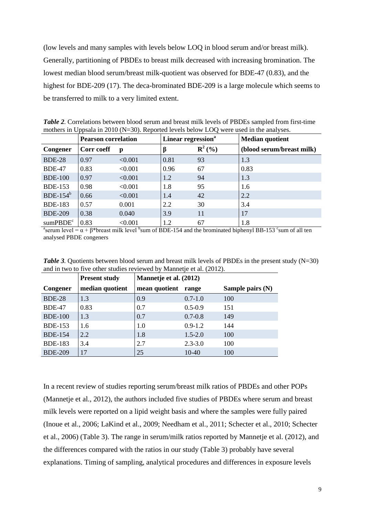(low levels and many samples with levels below LOQ in blood serum and/or breast milk). Generally, partitioning of PBDEs to breast milk decreased with increasing bromination. The lowest median blood serum/breast milk-quotient was observed for BDE-47 (0.83), and the highest for BDE-209 (17). The deca-brominated BDE-209 is a large molecule which seems to be transferred to milk to a very limited extent.

| mothers in Oppsala in 2010 (18–50). Reported levels below EOQ were used in the analyses. |                            |         |                                |                   |                           |
|------------------------------------------------------------------------------------------|----------------------------|---------|--------------------------------|-------------------|---------------------------|
|                                                                                          | <b>Pearson correlation</b> |         | Linear regression <sup>a</sup> |                   | <b>Median quotient</b>    |
| Congener                                                                                 | Corr coeff                 | p       |                                | ${\bf R}^{2}$ (%) | (blood serum/breast milk) |
| <b>BDE-28</b>                                                                            | 0.97                       | < 0.001 | 0.81                           | 93                | 1.3                       |
| <b>BDE-47</b>                                                                            | 0.83                       | < 0.001 | 0.96                           | 67                | 0.83                      |
| <b>BDE-100</b>                                                                           | 0.97                       | < 0.001 | 1.2                            | 94                | 1.3                       |
| <b>BDE-153</b>                                                                           | 0.98                       | < 0.001 | 1.8                            | 95                | 1.6                       |
| BDE-154 $b$                                                                              | 0.66                       | < 0.001 | 1.4                            | 42                | 2.2                       |
| <b>BDE-183</b>                                                                           | 0.57                       | 0.001   | 2.2                            | 30                | 3.4                       |
| <b>BDE-209</b>                                                                           | 0.38                       | 0.040   | 3.9                            | 11                | 17                        |
| sumPBDE <sup>c</sup>                                                                     | 0.83                       | < 0.001 | 1.2                            | 67                | 1.8                       |

*Table 2.* Correlations between blood serum and breast milk levels of PBDEs sampled from first-time mothers in Uppsala in 2010 (N=30). Reported levels below LOO were used in the analyses

<sup>a</sup>serum level =  $\alpha$  +  $\beta$ \*breast milk level <sup>b</sup>sum of BDE-154 and the brominated biphenyl BB-153 <sup>c</sup>sum of all ten analysed PBDE congeners

|                | <b>Present study</b> | Mannetje et al. (2012) |             |                  |  |  |
|----------------|----------------------|------------------------|-------------|------------------|--|--|
| Congener       | median quotient      | mean quotient          | range       | Sample pairs (N) |  |  |
|                |                      |                        |             |                  |  |  |
| <b>BDE-28</b>  | 1.3                  | 0.9                    | $0.7 - 1.0$ | 100              |  |  |
| <b>BDE-47</b>  | 0.83                 | 0.7                    | $0.5 - 0.9$ | 151              |  |  |
| <b>BDE-100</b> | 1.3                  | 0.7                    | $0.7 - 0.8$ | 149              |  |  |
| <b>BDE-153</b> | 1.6                  | 1.0                    | $0.9 - 1.2$ | 144              |  |  |
| <b>BDE-154</b> | 2.2                  | 1.8                    | $1.5 - 2.0$ | 100              |  |  |
| <b>BDE-183</b> | 3.4                  | 2.7                    | $2.3 - 3.0$ | 100              |  |  |
| <b>BDE-209</b> | 17                   | 25                     | $10-40$     | 100              |  |  |

*Table 3*. Quotients between blood serum and breast milk levels of PBDEs in the present study (N=30) and in two to five other studies reviewed by Mannetje et al. (2012).

In a recent review of studies reporting serum/breast milk ratios of PBDEs and other POPs (Mannetje et al., 2012), the authors included five studies of PBDEs where serum and breast milk levels were reported on a lipid weight basis and where the samples were fully paired (Inoue et al., 2006; LaKind et al., 2009; Needham et al., 2011; Schecter et al., 2010; Schecter et al., 2006) (Table 3). The range in serum/milk ratios reported by Mannetje et al. (2012), and the differences compared with the ratios in our study (Table 3) probably have several explanations. Timing of sampling, analytical procedures and differences in exposure levels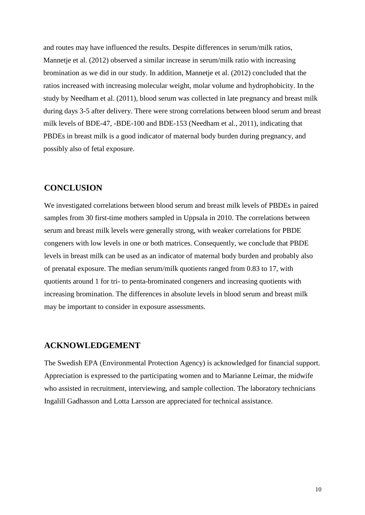and routes may have influenced the results. Despite differences in serum/milk ratios, Mannetje et al. (2012) observed a similar increase in serum/milk ratio with increasing bromination as we did in our study. In addition, Mannetje et al. (2012) concluded that the ratios increased with increasing molecular weight, molar volume and hydrophobicity. In the study by Needham et al. (2011), blood serum was collected in late pregnancy and breast milk during days 3-5 after delivery. There were strong correlations between blood serum and breast milk levels of BDE-47, -BDE-100 and BDE-153 (Needham et al., 2011), indicating that PBDEs in breast milk is a good indicator of maternal body burden during pregnancy, and possibly also of fetal exposure.

# **CONCLUSION**

We investigated correlations between blood serum and breast milk levels of PBDEs in paired samples from 30 first-time mothers sampled in Uppsala in 2010. The correlations between serum and breast milk levels were generally strong, with weaker correlations for PBDE congeners with low levels in one or both matrices. Consequently, we conclude that PBDE levels in breast milk can be used as an indicator of maternal body burden and probably also of prenatal exposure. The median serum/milk quotients ranged from 0.83 to 17, with quotients around 1 for tri- to penta-brominated congeners and increasing quotients with increasing bromination. The differences in absolute levels in blood serum and breast milk may be important to consider in exposure assessments.

### **ACKNOWLEDGEMENT**

The Swedish EPA (Environmental Protection Agency) is acknowledged for financial support. Appreciation is expressed to the participating women and to Marianne Leimar, the midwife who assisted in recruitment, interviewing, and sample collection. The laboratory technicians Ingalill Gadhasson and Lotta Larsson are appreciated for technical assistance.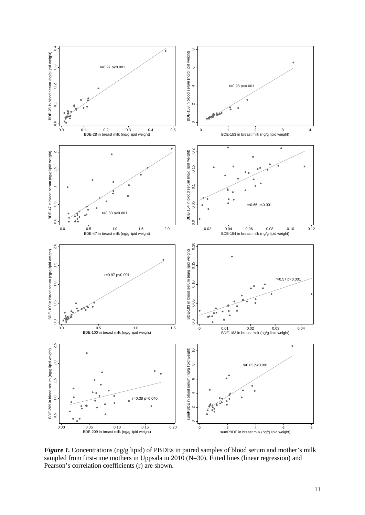

*Figure 1.* Concentrations (ng/g lipid) of PBDEs in paired samples of blood serum and mother's milk sampled from first-time mothers in Uppsala in 2010 (N=30). Fitted lines (linear regression) and Pearson's correlation coefficients (r) are shown.